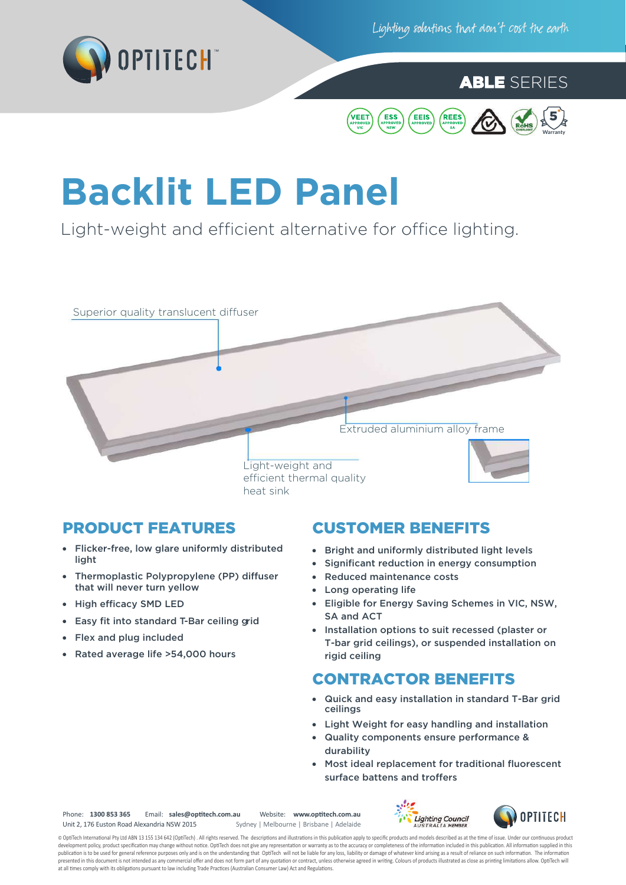

Lighting solutions that don't cost the earth

# ABLE SERIES



# **Backlit LED Panel**

Light-weight and efficient alternative for office lighting.



- Flicker-free, low glare uniformly distributed light
- Thermoplastic Polypropylene (PP) diffuser that will never turn yellow
- High efficacy SMD LED
- Easy fit into standard T-Bar ceiling grid
- Flex and plug included
- Rated average life >54,000 hours

#### PRODUCT FEATURES CUSTOMER BENEFITS

- Bright and uniformly distributed light levels
- Significant reduction in energy consumption
- Reduced maintenance costs
- Long operating life
- Eligible for Energy Saving Schemes in VIC, NSW, SA and ACT
- Installation options to suit recessed (plaster or T-bar grid ceilings), or suspended installation on rigid ceiling

### CONTRACTOR BENEFITS

- Quick and easy installation in standard T-Bar grid ceilings
- Light Weight for easy handling and installation
- Quality components ensure performance & durability
- Most ideal replacement for traditional fluorescent surface battens and troffers

Phone: **1300 853 365** Email: **sales@op�tech.com.au** Website: **www.op�tech.com.au** Unit 2, 176 Euston Road Alexandria NSW 2015

Sydney | Melbourne | Brisbane | Adelaide





© OptiTech International Pty Ltd ABN 13 155 134 642 (OptiTech). All rights reserved. The descriptions and illustrations in this publication apply to specific products and models described as at the time of issue. Under our development policy, product specification may change without notice. OptiTech does not give any representation or warranty as to the accuracy or completeness of the information included in this publication. All information presented in this document is not intended as any commercial offer and does not form part of any quotation or contract, unless otherwise agreed in writing. Colours of products illustrated as close as printing limitations a